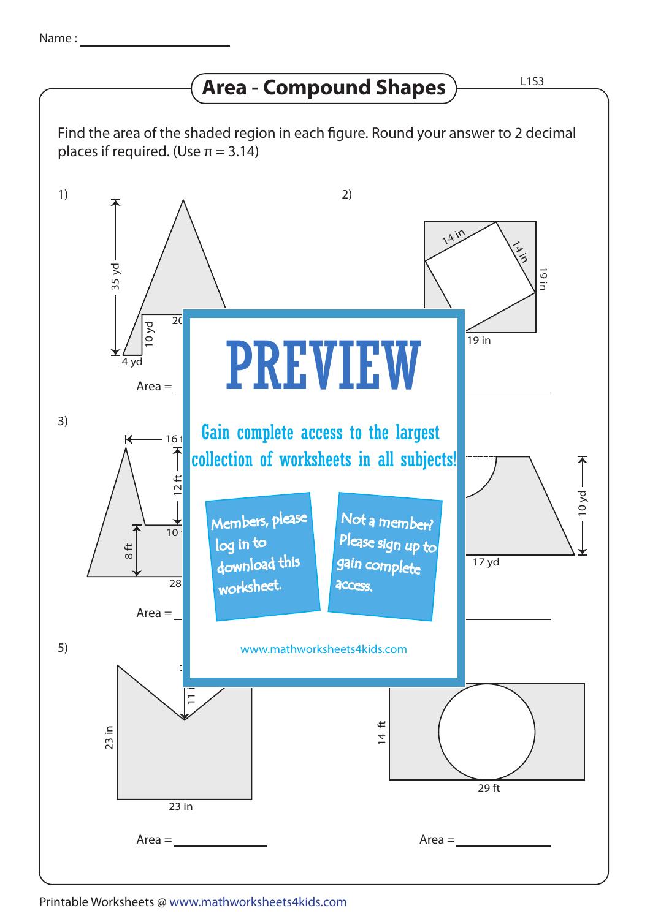## **Area - Compound Shapes**

23 in  $\frac{1}{11}$  $23$  in 10 yd  $\overline{20}$ 4 yd ar y brenin y brenin y brenin y brenin y brenin y brenin y brenin y brenin y brenin y brenin y brenin y b 35 yd 14 ft 29 ft 1) 3) 5) 2) 6) www.mathworksheets4kids.com Gain complete access to the largest  $Area =$  $Area =$  $Area =$ Area =  $Area =$  $\frac{1}{19}$  in 19 in  $A$  ir **VAID**  $\overline{28}$ 8 ft 16  $12$  ft  $\rightarrow$  $\frac{1}{10}$ 17 yd collection of worksheets in all subjects! Find the area of the shaded region in each figure. Round your answer to 2 decimal places if required. (Use  $\pi = 3.14$ )  $-10$  yd  $-$ PREVIEW Members, please download this worksheet. log in to Not a member? gain complete Please sign up to access.

## Printable Worksheets @ www.mathworksheets4kids.com